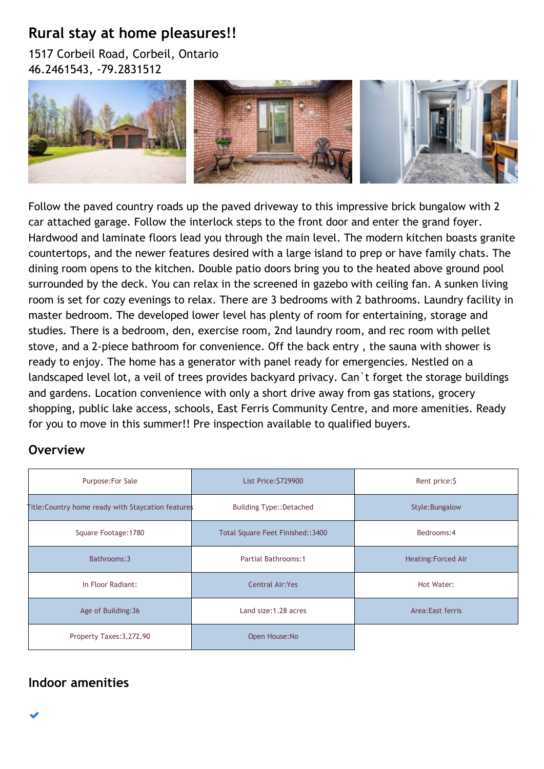## **Rural stay at home pleasures!!**

1517 Corbeil Road, Corbeil, Ontario 46.2461543, -79.2831512



Follow the paved country roads up the paved driveway to this impressive brick bungalow with 2 car attached garage. Follow the interlock steps to the front door and enter the grand foyer. Hardwood and laminate floors lead you through the main level. The modern kitchen boasts granite countertops, and the newer features desired with a large island to prep or have family chats. The dining room opens to the kitchen. Double patio doors bring you to the heated above ground pool surrounded by the deck. You can relax in the screened in gazebo with ceiling fan. A sunken living room is set for cozy evenings to relax. There are 3 bedrooms with 2 bathrooms. Laundry facility in master bedroom. The developed lower level has plenty of room for entertaining, storage and studies. There is a bedroom, den, exercise room, 2nd laundry room, and rec room with pellet stove, and a 2-piece bathroom for convenience. Off the back entry , the sauna with shower is ready to enjoy. The home has a generator with panel ready for emergencies. Nestled on a landscaped level lot, a veil of trees provides backyard privacy. Can`t forget the storage buildings and gardens. Location convenience with only a short drive away from gas stations, grocery shopping, public lake access, schools, East Ferris Community Centre, and more amenities. Ready for you to move in this summer!! Pre inspection available to qualified buyers.

## **Overview**

| Purpose: For Sale                                  | <b>List Price: \$729900</b><br>Rent price: \$   |                           |  |
|----------------------------------------------------|-------------------------------------------------|---------------------------|--|
| Title: Country home ready with Staycation features | <b>Building Type::Detached</b>                  | Style: Bungalow           |  |
| Square Footage: 1780                               | Bedrooms: 4<br>Total Square Feet Finished::3400 |                           |  |
| Bathrooms: 3                                       | Partial Bathrooms:1                             | <b>Heating:Forced Air</b> |  |
| In Floor Radiant:                                  | <b>Central Air: Yes</b><br>Hot Water:           |                           |  |
| Age of Building: 36                                | Land size: 1.28 acres                           | Area: East ferris         |  |
| Property Taxes: 3, 272.90                          | Open House: No                                  |                           |  |

**Indoor amenities**